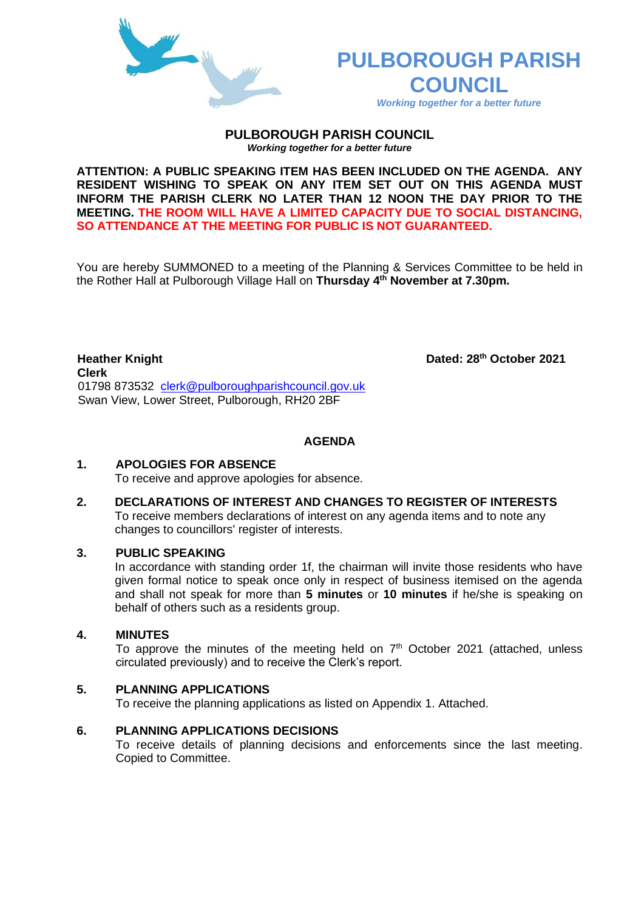

# **PULBOROUGH PARISH COUNCIL**

*Working together for a better future*

#### **PULBOROUGH PARISH COUNCIL** *Working together for a better future*

**ATTENTION: A PUBLIC SPEAKING ITEM HAS BEEN INCLUDED ON THE AGENDA. ANY RESIDENT WISHING TO SPEAK ON ANY ITEM SET OUT ON THIS AGENDA MUST INFORM THE PARISH CLERK NO LATER THAN 12 NOON THE DAY PRIOR TO THE MEETING. THE ROOM WILL HAVE A LIMITED CAPACITY DUE TO SOCIAL DISTANCING, SO ATTENDANCE AT THE MEETING FOR PUBLIC IS NOT GUARANTEED.**

You are hereby SUMMONED to a meeting of the Planning & Services Committee to be held in the Rother Hall at Pulborough Village Hall on **Thursday 4 th November at 7.30pm.** 

**Heather Knight Dated: 28th October 2021 Clerk**  01798 873532 [clerk@pulboroughparishcouncil.gov.uk](mailto:clerk@pulboroughparishcouncil.gov.uk) Swan View, Lower Street, Pulborough, RH20 2BF

# **AGENDA**

#### **1. APOLOGIES FOR ABSENCE**

To receive and approve apologies for absence.

**2. DECLARATIONS OF INTEREST AND CHANGES TO REGISTER OF INTERESTS** To receive members declarations of interest on any agenda items and to note any changes to councillors' register of interests.

#### **3. PUBLIC SPEAKING**

In accordance with standing order 1f, the chairman will invite those residents who have given formal notice to speak once only in respect of business itemised on the agenda and shall not speak for more than **5 minutes** or **10 minutes** if he/she is speaking on behalf of others such as a residents group.

### **4. MINUTES**

To approve the minutes of the meeting held on  $7<sup>th</sup>$  October 2021 (attached, unless circulated previously) and to receive the Clerk's report.

#### **5. PLANNING APPLICATIONS**

To receive the planning applications as listed on Appendix 1. Attached.

#### **6. PLANNING APPLICATIONS DECISIONS**

To receive details of planning decisions and enforcements since the last meeting. Copied to Committee.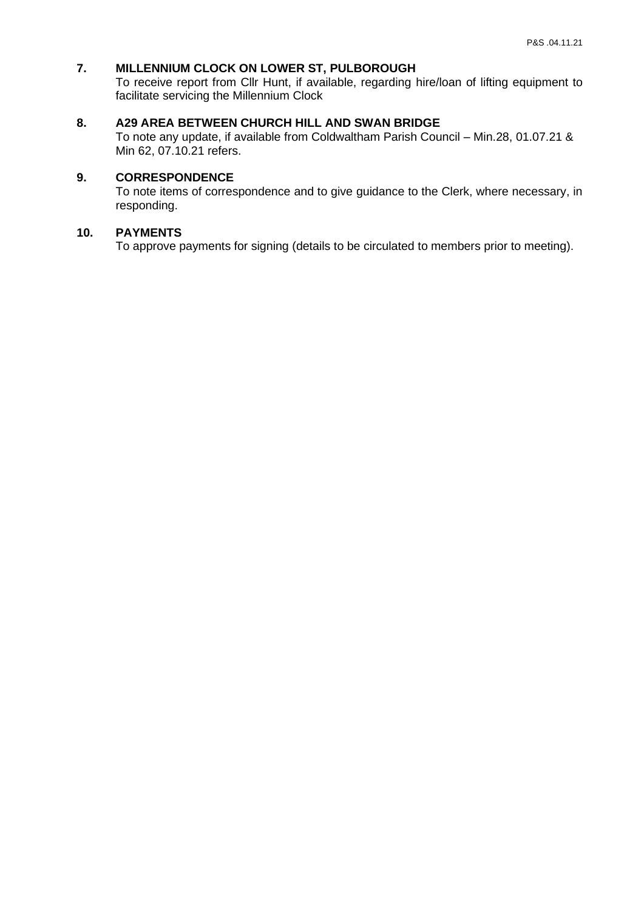# **7. MILLENNIUM CLOCK ON LOWER ST, PULBOROUGH**

To receive report from Cllr Hunt, if available, regarding hire/loan of lifting equipment to facilitate servicing the Millennium Clock

# **8. A29 AREA BETWEEN CHURCH HILL AND SWAN BRIDGE**

To note any update, if available from Coldwaltham Parish Council – Min.28, 01.07.21 & Min 62, 07.10.21 refers.

# **9. CORRESPONDENCE**

To note items of correspondence and to give guidance to the Clerk, where necessary, in responding.

# **10. PAYMENTS**

To approve payments for signing (details to be circulated to members prior to meeting).